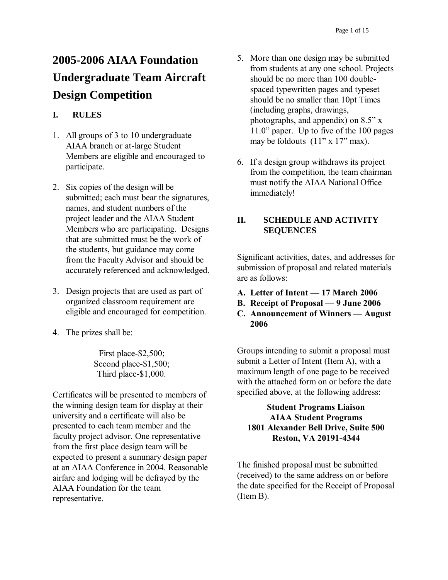# **2005-2006 AIAA Foundation Undergraduate Team Aircraft Design Competition**

## **I. RULES**

- 1. All groups of 3 to 10 undergraduate AIAA branch or at-large Student Members are eligible and encouraged to participate.
- 2. Six copies of the design will be submitted; each must bear the signatures, names, and student numbers of the project leader and the AIAA Student Members who are participating. Designs that are submitted must be the work of the students, but guidance may come from the Faculty Advisor and should be accurately referenced and acknowledged.
- 3. Design projects that are used as part of organized classroom requirement are eligible and encouraged for competition.
- 4. The prizes shall be:

First place-\$2,500; Second place-\$1,500; Third place-\$1,000.

Certificates will be presented to members of the winning design team for display at their university and a certificate will also be presented to each team member and the faculty project advisor. One representative from the first place design team will be expected to present a summary design paper at an AIAA Conference in 2004. Reasonable airfare and lodging will be defrayed by the AIAA Foundation for the team representative.

- 5. More than one design may be submitted from students at any one school. Projects should be no more than 100 doublespaced typewritten pages and typeset should be no smaller than 10pt Times (including graphs, drawings, photographs, and appendix) on 8.5" x 11.0" paper. Up to five of the 100 pages may be foldouts (11" x 17" max).
- 6. If a design group withdraws its project from the competition, the team chairman must notify the AIAA National Office immediately!

## **II. SCHEDULE AND ACTIVITY SEQUENCES**

Significant activities, dates, and addresses for submission of proposal and related materials are as follows:

- **A. Letter of Intent — 17 March 2006**
- **B. Receipt of Proposal — 9 June 2006**
- **C. Announcement of Winners — August 2006**

Groups intending to submit a proposal must submit a Letter of Intent (Item A), with a maximum length of one page to be received with the attached form on or before the date specified above, at the following address:

## **Student Programs Liaison AIAA Student Programs 1801 Alexander Bell Drive, Suite 500 Reston, VA 20191-4344**

The finished proposal must be submitted (received) to the same address on or before the date specified for the Receipt of Proposal (Item B).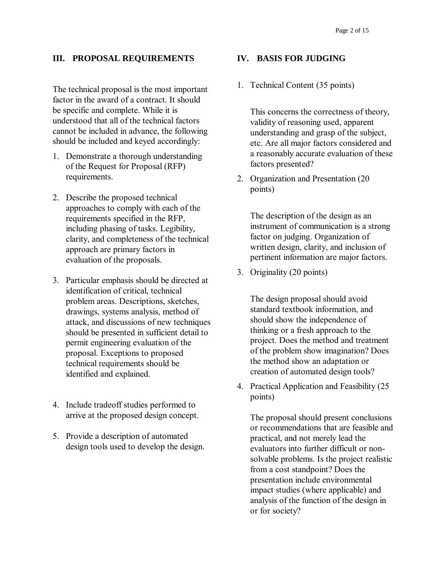### **III. PROPOSAL REQUIREMENTS**

The technical proposal is the most important factor in the award of a contract. It should be specific and complete. While it is understood that all of the technical factors cannot be included in advance, the following should be included and keyed accordingly:

- 1. Demonstrate a thorough understanding of the Request for Proposal (RFP) requirements.
- 2. Describe the proposed technical approaches to comply with each of the requirements specified in the RFP, including phasing of tasks. Legibility, clarity, and completeness of the technical approach are primary factors in evaluation of the proposals.
- 3. Particular emphasis should be directed at identification of critical, technical problem areas. Descriptions, sketches, drawings, systems analysis, method of attack, and discussions of new techniques should be presented in sufficient detail to permit engineering evaluation of the proposal. Exceptions to proposed technical requirements should be identified and explained.
- 4. Include tradeoff studies performed to arrive at the proposed design concept.
- 5. Provide a description of automated design tools used to develop the design.

#### **IV. BASIS FOR JUDGING**

1. Technical Content (35 points)

This concerns the correctness of theory, validity of reasoning used, apparent understanding and grasp of the subject, etc. Are all major factors considered and a reasonably accurate evaluation of these factors presented?

2. Organization and Presentation (20 points)

The description of the design as an instrument of communication is a strong factor on judging. Organization of written design, clarity, and inclusion of pertinent information are major factors.

3. Originality (20 points)

The design proposal should avoid standard textbook information, and should show the independence of thinking or a fresh approach to the project. Does the method and treatment of the problem show imagination? Does the method show an adaptation or creation of automated design tools?

4. Practical Application and Feasibility (25 points)

The proposal should present conclusions or recommendations that are feasible and practical, and not merely lead the evaluators into further difficult or nonsolvable problems. Is the project realistic from a cost standpoint? Does the presentation include environmental impact studies (where applicable) and analysis of the function of the design in or for society?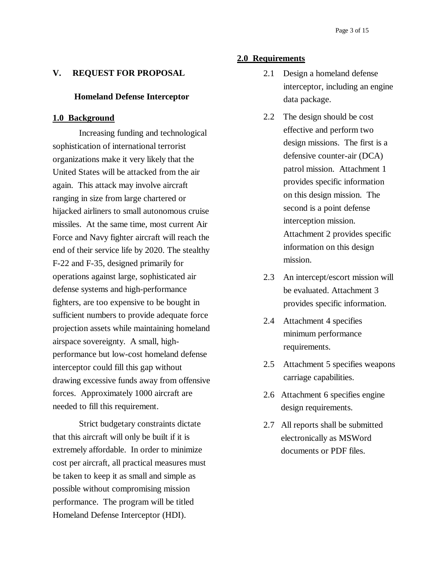### **V. REQUEST FOR PROPOSAL**

#### **Homeland Defense Interceptor**

#### **1.0 Background**

Increasing funding and technological sophistication of international terrorist organizations make it very likely that the United States will be attacked from the air again. This attack may involve aircraft ranging in size from large chartered or hijacked airliners to small autonomous cruise missiles. At the same time, most current Air Force and Navy fighter aircraft will reach the end of their service life by 2020. The stealthy F-22 and F-35, designed primarily for operations against large, sophisticated air defense systems and high-performance fighters, are too expensive to be bought in sufficient numbers to provide adequate force projection assets while maintaining homeland airspace sovereignty. A small, highperformance but low-cost homeland defense interceptor could fill this gap without drawing excessive funds away from offensive forces. Approximately 1000 aircraft are needed to fill this requirement.

Strict budgetary constraints dictate that this aircraft will only be built if it is extremely affordable. In order to minimize cost per aircraft, all practical measures must be taken to keep it as small and simple as possible without compromising mission performance. The program will be titled Homeland Defense Interceptor (HDI).

#### **2.0 Requirements**

- 2.1 Design a homeland defense interceptor, including an engine data package.
- 2.2 The design should be cost effective and perform two design missions. The first is a defensive counter-air (DCA) patrol mission. Attachment 1 provides specific information on this design mission. The second is a point defense interception mission. Attachment 2 provides specific information on this design mission.
- 2.3 An intercept/escort mission will be evaluated. Attachment 3 provides specific information.
- 2.4 Attachment 4 specifies minimum performance requirements.
- 2.5 Attachment 5 specifies weapons carriage capabilities.
- 2.6 Attachment 6 specifies engine design requirements.
- 2.7 All reports shall be submitted electronically as MSWord documents or PDF files.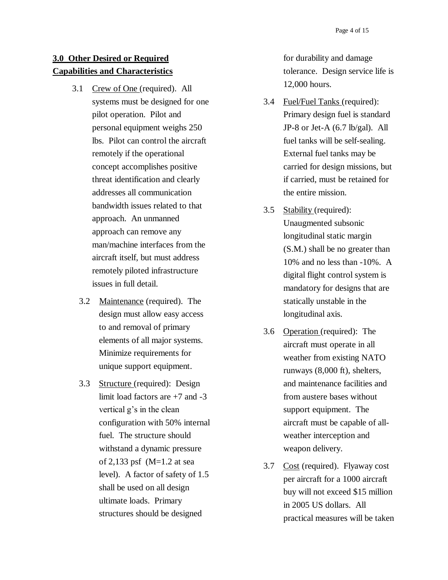## **3.0 Other Desired or Required Capabilities and Characteristics**

- 3.1 Crew of One (required). All systems must be designed for one pilot operation. Pilot and personal equipment weighs 250 lbs. Pilot can control the aircraft remotely if the operational concept accomplishes positive threat identification and clearly addresses all communication bandwidth issues related to that approach. An unmanned approach can remove any man/machine interfaces from the aircraft itself, but must address remotely piloted infrastructure issues in full detail.
	- 3.2 Maintenance (required). The design must allow easy access to and removal of primary elements of all major systems. Minimize requirements for unique support equipment.
	- 3.3 Structure (required): Design limit load factors are +7 and -3 vertical g's in the clean configuration with 50% internal fuel. The structure should withstand a dynamic pressure of 2,133 psf (M=1.2 at sea level). A factor of safety of 1.5 shall be used on all design ultimate loads. Primary structures should be designed

for durability and damage tolerance. Design service life is 12,000 hours.

- 3.4 Fuel/Fuel Tanks (required): Primary design fuel is standard JP-8 or Jet-A (6.7 lb/gal). All fuel tanks will be self-sealing. External fuel tanks may be carried for design missions, but if carried, must be retained for the entire mission.
- 3.5 Stability (required): Unaugmented subsonic longitudinal static margin (S.M.) shall be no greater than 10% and no less than -10%. A digital flight control system is mandatory for designs that are statically unstable in the longitudinal axis.
- 3.6 Operation (required): The aircraft must operate in all weather from existing NATO runways (8,000 ft), shelters, and maintenance facilities and from austere bases without support equipment. The aircraft must be capable of allweather interception and weapon delivery.
- 3.7 Cost (required). Flyaway cost per aircraft for a 1000 aircraft buy will not exceed \$15 million in 2005 US dollars. All practical measures will be taken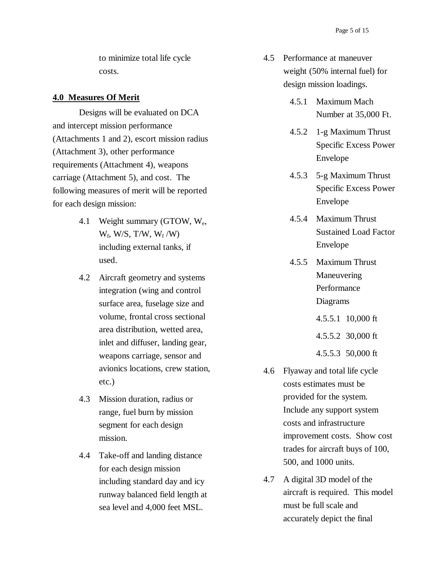to minimize total life cycle costs.

#### **4.0 Measures Of Merit**

Designs will be evaluated on DCA and intercept mission performance (Attachments 1 and 2), escort mission radius (Attachment 3), other performance requirements (Attachment 4), weapons carriage (Attachment 5), and cost. The following measures of merit will be reported for each design mission:

- 4.1 Weight summary (GTOW, We,  $W_f$ , W/S, T/W,  $W_f$ /W) including external tanks, if used.
- 4.2 Aircraft geometry and systems integration (wing and control surface area, fuselage size and volume, frontal cross sectional area distribution, wetted area, inlet and diffuser, landing gear, weapons carriage, sensor and avionics locations, crew station, etc.)
- 4.3 Mission duration, radius or range, fuel burn by mission segment for each design mission.
- 4.4 Take-off and landing distance for each design mission including standard day and icy runway balanced field length at sea level and 4,000 feet MSL.
- 4.5 Performance at maneuver weight (50% internal fuel) for design mission loadings.
	- 4.5.1 Maximum Mach Number at 35,000 Ft.
	- 4.5.2 1-g Maximum Thrust Specific Excess Power Envelope
	- 4.5.3 5-g Maximum Thrust Specific Excess Power Envelope
	- 4.5.4 Maximum Thrust Sustained Load Factor Envelope
	- 4.5.5 Maximum Thrust Maneuvering Performance Diagrams
		- 4.5.5.1 10,000 ft
		- 4.5.5.2 30,000 ft
		- 4.5.5.3 50,000 ft
- 4.6 Flyaway and total life cycle costs estimates must be provided for the system. Include any support system costs and infrastructure improvement costs. Show cost trades for aircraft buys of 100, 500, and 1000 units.
- 4.7 A digital 3D model of the aircraft is required. This model must be full scale and accurately depict the final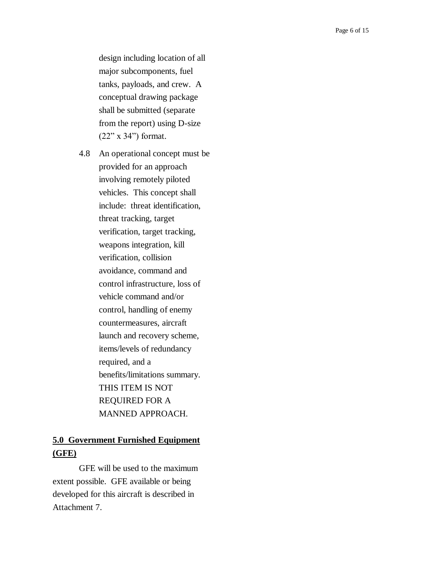design including location of all major subcomponents, fuel tanks, payloads, and crew. A conceptual drawing package shall be submitted (separate from the report) using D-size (22" x 34") format.

4.8 An operational concept must be provided for an approach involving remotely piloted vehicles. This concept shall include: threat identification, threat tracking, target verification, target tracking, weapons integration, kill verification, collision avoidance, command and control infrastructure, loss of vehicle command and/or control, handling of enemy countermeasures, aircraft launch and recovery scheme, items/levels of redundancy required, and a benefits/limitations summary. THIS ITEM IS NOT REQUIRED FOR A MANNED APPROACH.

## **5.0 Government Furnished Equipment (GFE)**

GFE will be used to the maximum extent possible. GFE available or being developed for this aircraft is described in Attachment 7.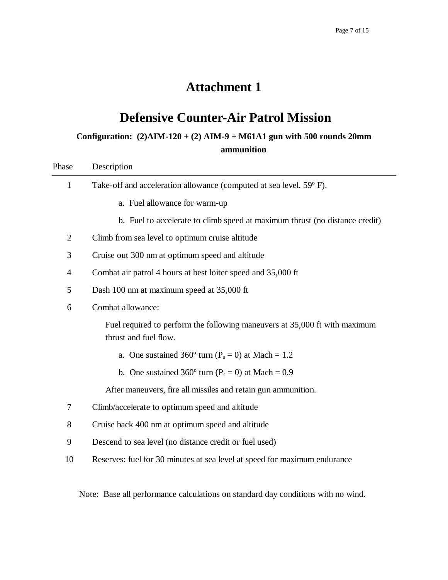# **Defensive Counter-Air Patrol Mission**

# **Configuration: (2)AIM-120 + (2) AIM-9 + M61A1 gun with 500 rounds 20mm ammunition**

| Phase                                                  | Description                                                                                         |  |  |
|--------------------------------------------------------|-----------------------------------------------------------------------------------------------------|--|--|
| $\mathbf{1}$                                           | Take-off and acceleration allowance (computed at sea level. 59°F).                                  |  |  |
|                                                        | a. Fuel allowance for warm-up                                                                       |  |  |
|                                                        | b. Fuel to accelerate to climb speed at maximum thrust (no distance credit)                         |  |  |
| $\overline{2}$                                         | Climb from sea level to optimum cruise altitude                                                     |  |  |
| 3                                                      | Cruise out 300 nm at optimum speed and altitude                                                     |  |  |
| $\overline{4}$                                         | Combat air patrol 4 hours at best loiter speed and 35,000 ft                                        |  |  |
| 5                                                      | Dash 100 nm at maximum speed at 35,000 ft                                                           |  |  |
| 6                                                      | Combat allowance:                                                                                   |  |  |
|                                                        | Fuel required to perform the following maneuvers at 35,000 ft with maximum<br>thrust and fuel flow. |  |  |
|                                                        | a. One sustained 360 $^{\circ}$ turn (P <sub>s</sub> = 0) at Mach = 1.2                             |  |  |
| b. One sustained 360° turn ( $P_s = 0$ ) at Mach = 0.9 |                                                                                                     |  |  |
|                                                        | After maneuvers, fire all missiles and retain gun ammunition.                                       |  |  |
| $\tau$                                                 | Climb/accelerate to optimum speed and altitude                                                      |  |  |
| 8                                                      | Cruise back 400 nm at optimum speed and altitude                                                    |  |  |
| 9                                                      | Descend to sea level (no distance credit or fuel used)                                              |  |  |
| 10                                                     | Reserves: fuel for 30 minutes at sea level at speed for maximum endurance                           |  |  |
|                                                        |                                                                                                     |  |  |

Note: Base all performance calculations on standard day conditions with no wind.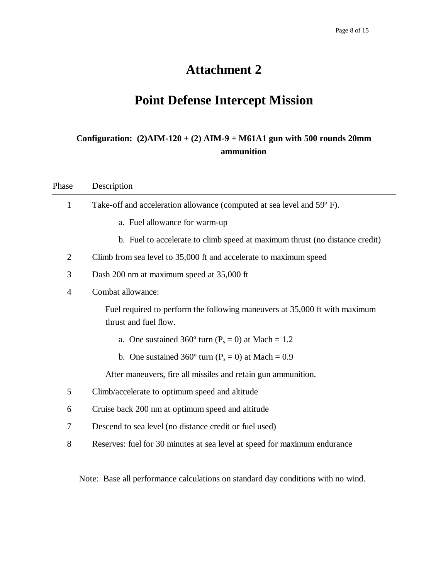# **Point Defense Intercept Mission**

# **Configuration: (2)AIM-120 + (2) AIM-9 + M61A1 gun with 500 rounds 20mm ammunition**

| Phase          | Description                                                                                         |  |
|----------------|-----------------------------------------------------------------------------------------------------|--|
| 1              | Take-off and acceleration allowance (computed at sea level and 59°F).                               |  |
|                | a. Fuel allowance for warm-up                                                                       |  |
|                | b. Fuel to accelerate to climb speed at maximum thrust (no distance credit)                         |  |
| $\overline{2}$ | Climb from sea level to 35,000 ft and accelerate to maximum speed                                   |  |
| 3              | Dash 200 nm at maximum speed at 35,000 ft                                                           |  |
| $\overline{4}$ | Combat allowance:                                                                                   |  |
|                | Fuel required to perform the following maneuvers at 35,000 ft with maximum<br>thrust and fuel flow. |  |
|                | a. One sustained 360° turn ( $P_s = 0$ ) at Mach = 1.2                                              |  |
|                | b. One sustained 360° turn ( $P_s = 0$ ) at Mach = 0.9                                              |  |
|                | After maneuvers, fire all missiles and retain gun ammunition.                                       |  |
| 5              | Climb/accelerate to optimum speed and altitude                                                      |  |
| 6              | Cruise back 200 nm at optimum speed and altitude                                                    |  |
| 7              | Descend to sea level (no distance credit or fuel used)                                              |  |
| 8              | Reserves: fuel for 30 minutes at sea level at speed for maximum endurance                           |  |

Note: Base all performance calculations on standard day conditions with no wind.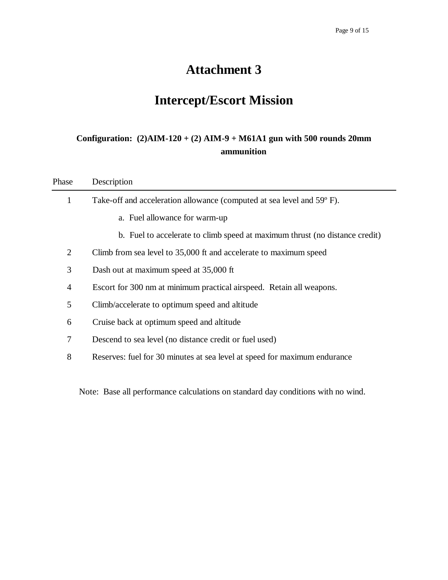# **Intercept/Escort Mission**

# **Configuration: (2)AIM-120 + (2) AIM-9 + M61A1 gun with 500 rounds 20mm ammunition**

| Phase          | Description                                                                 |
|----------------|-----------------------------------------------------------------------------|
| 1              | Take-off and acceleration allowance (computed at sea level and 59°F).       |
|                | a. Fuel allowance for warm-up                                               |
|                | b. Fuel to accelerate to climb speed at maximum thrust (no distance credit) |
| $\overline{2}$ | Climb from sea level to 35,000 ft and accelerate to maximum speed           |
| 3              | Dash out at maximum speed at 35,000 ft                                      |
| $\overline{4}$ | Escort for 300 nm at minimum practical airspeed. Retain all weapons.        |
| 5              | Climb/accelerate to optimum speed and altitude                              |
| 6              | Cruise back at optimum speed and altitude                                   |
| 7              | Descend to sea level (no distance credit or fuel used)                      |
| 8              | Reserves: fuel for 30 minutes at sea level at speed for maximum endurance   |
|                |                                                                             |
|                |                                                                             |

Note: Base all performance calculations on standard day conditions with no wind.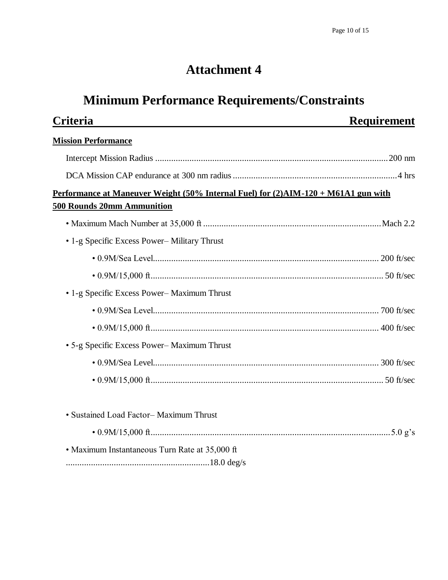# **Minimum Performance Requirements/Constraints**

| Criteria                                                                           | <b>Requirement</b> |
|------------------------------------------------------------------------------------|--------------------|
| <b>Mission Performance</b>                                                         |                    |
|                                                                                    |                    |
|                                                                                    |                    |
| Performance at Maneuver Weight (50% Internal Fuel) for (2)AIM-120 + M61A1 gun with |                    |
| <b>500 Rounds 20mm Ammunition</b>                                                  |                    |
|                                                                                    |                    |
| • 1-g Specific Excess Power-Military Thrust                                        |                    |
|                                                                                    |                    |
|                                                                                    |                    |
| • 1-g Specific Excess Power-Maximum Thrust                                         |                    |
|                                                                                    |                    |
|                                                                                    |                    |
| • 5-g Specific Excess Power-Maximum Thrust                                         |                    |
|                                                                                    |                    |
|                                                                                    |                    |
| • Sustained Load Factor-Maximum Thrust                                             |                    |
|                                                                                    |                    |
| • Maximum Instantaneous Turn Rate at 35,000 ft                                     |                    |
|                                                                                    |                    |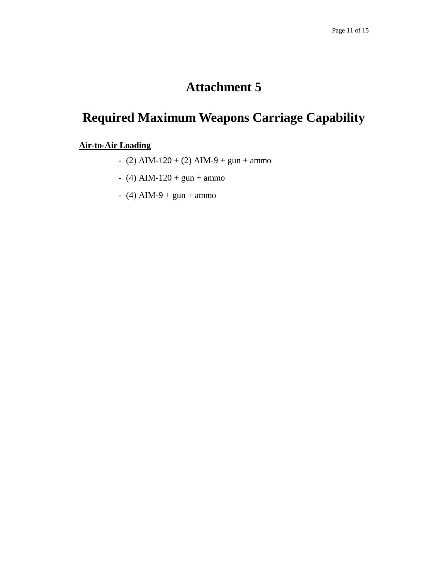# **Required Maximum Weapons Carriage Capability**

## **Air-to-Air Loading**

- (2) AIM-120 + (2) AIM-9 + gun + ammo
- (4) AIM-120 + gun + ammo
- $-$  (4) AIM-9 + gun + ammo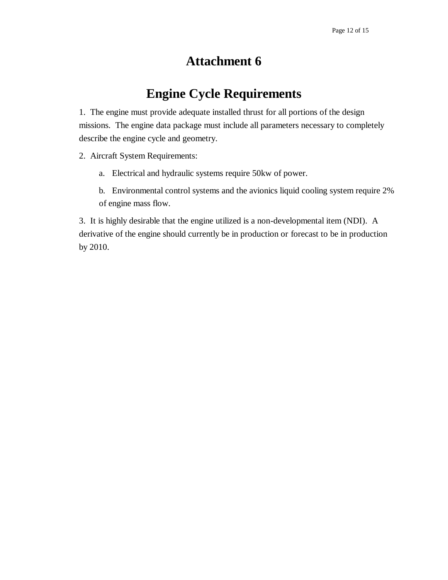# **Engine Cycle Requirements**

1. The engine must provide adequate installed thrust for all portions of the design missions. The engine data package must include all parameters necessary to completely describe the engine cycle and geometry.

2. Aircraft System Requirements:

- a. Electrical and hydraulic systems require 50kw of power.
- b. Environmental control systems and the avionics liquid cooling system require 2% of engine mass flow.

3. It is highly desirable that the engine utilized is a non-developmental item (NDI). A derivative of the engine should currently be in production or forecast to be in production by 2010.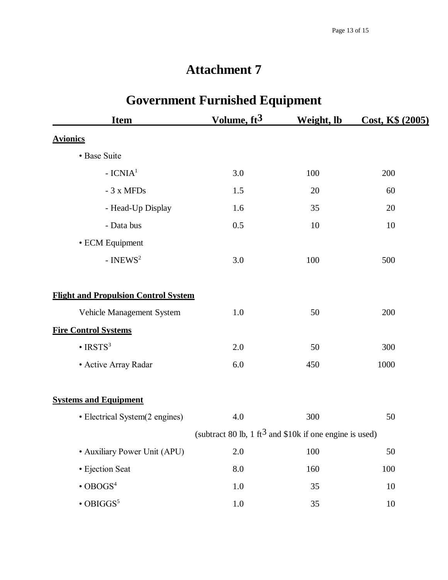| <b>Item</b>                                 | $\ldots$<br>Volume, $ft3$                                           | Weight, lb | Cost, K\$ (2005) |
|---------------------------------------------|---------------------------------------------------------------------|------------|------------------|
| <b>Avionics</b>                             |                                                                     |            |                  |
| • Base Suite                                |                                                                     |            |                  |
|                                             |                                                                     |            |                  |
| $-ICNIA1$                                   | 3.0                                                                 | 100        | 200              |
| - 3 x MFDs                                  | 1.5                                                                 | 20         | 60               |
| - Head-Up Display                           | 1.6                                                                 | 35         | 20               |
| - Data bus                                  | 0.5                                                                 | 10         | 10               |
| • ECM Equipment                             |                                                                     |            |                  |
| - INEWS <sup>2</sup>                        | 3.0                                                                 | 100        | 500              |
| <b>Flight and Propulsion Control System</b> |                                                                     |            |                  |
| Vehicle Management System                   | 1.0                                                                 | 50         | 200              |
| <b>Fire Control Systems</b>                 |                                                                     |            |                  |
| $\cdot$ IRSTS <sup>3</sup>                  | 2.0                                                                 | 50         | 300              |
| • Active Array Radar                        | 6.0                                                                 | 450        | 1000             |
| <b>Systems and Equipment</b>                |                                                                     |            |                  |
| • Electrical System(2 engines)              | 4.0                                                                 | 300        | 50               |
|                                             | (subtract 80 lb, 1 ft <sup>3</sup> and \$10k if one engine is used) |            |                  |
| • Auxiliary Power Unit (APU)                | $2.0\,$                                                             | 100        | 50               |
| · Ejection Seat                             | $\rm 8.0$                                                           | 160        | 100              |
| $\cdot$ OBOGS <sup>4</sup>                  | $1.0\,$                                                             | 35         | 10               |
| $\cdot$ OBIGGS <sup>5</sup>                 | $1.0\,$                                                             | 35         | $10\,$           |

# **Government Furnished Equipment**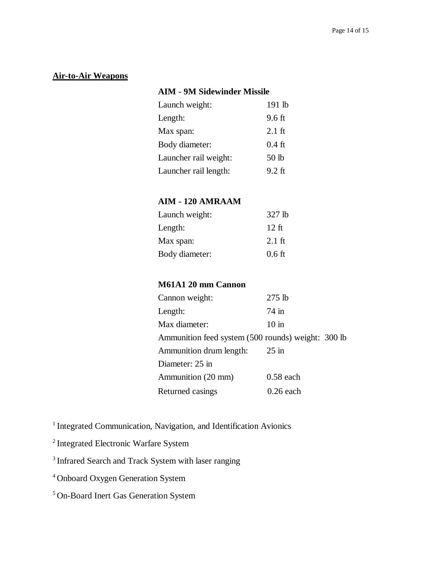## **Air-to-Air Weapons**

## **AIM - 9M Sidewinder Missile**

| Launch weight:        | 191 lb   |
|-----------------------|----------|
| Length:               | 9.6 ft   |
| Max span:             | $2.1$ ft |
| Body diameter:        | $0.4$ ft |
| Launcher rail weight: | 50 lb    |
| Launcher rail length: | $9.2$ ft |

## **AIM - 120 AMRAAM**

| 327 lb           |
|------------------|
| $12$ ft          |
| $2.1 \text{ ft}$ |
| $0.6$ ft         |
|                  |

## **M61A1 20 mm Cannon**

| Cannon weight:                                     | $275$ lb        |
|----------------------------------------------------|-----------------|
| Length:                                            | $74 \text{ in}$ |
| Max diameter:                                      | $10$ in         |
| Ammunition feed system (500 rounds) weight: 300 lb |                 |
| Ammunition drum length:                            | $25$ in         |
| Diameter: 25 in                                    |                 |
| Ammunition (20 mm)                                 | $0.58$ each     |
| Returned casings                                   | $0.26$ each     |

<sup>1</sup> Integrated Communication, Navigation, and Identification Avionics

<sup>2</sup>Integrated Electronic Warfare System

<sup>3</sup> Infrared Search and Track System with laser ranging

<sup>4</sup>Onboard Oxygen Generation System

<sup>5</sup>On-Board Inert Gas Generation System